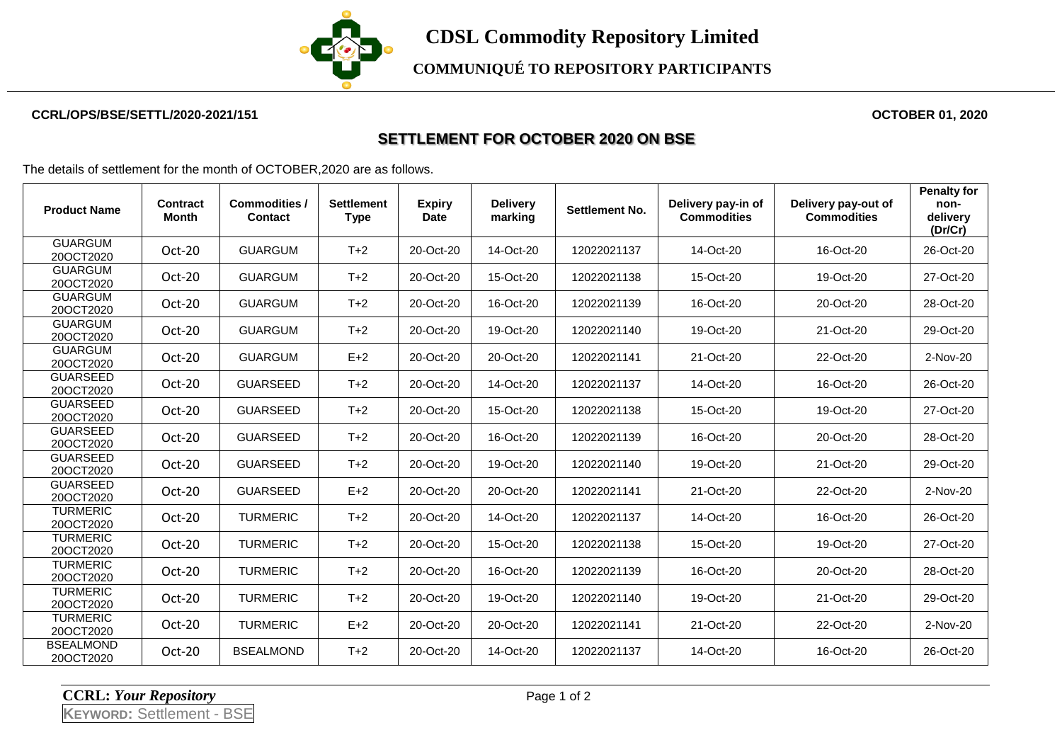

## **CCRL/OPS/BSE/SETTL/2020-2021/151 OCTOBER 01, 2020**

## **SETTLEMENT FOR OCTOBER 2020 ON BSE**

The details of settlement for the month of OCTOBER,2020 are as follows.

| <b>Product Name</b>           | Contract<br>Month | <b>Commodities /</b><br><b>Contact</b> | <b>Settlement</b><br><b>Type</b> | <b>Expiry</b><br><b>Date</b> | <b>Delivery</b><br>marking | Settlement No. | Delivery pay-in of<br><b>Commodities</b> | Delivery pay-out of<br><b>Commodities</b> | <b>Penalty for</b><br>non-<br>delivery<br>(Dr/Cr) |
|-------------------------------|-------------------|----------------------------------------|----------------------------------|------------------------------|----------------------------|----------------|------------------------------------------|-------------------------------------------|---------------------------------------------------|
| <b>GUARGUM</b><br>20OCT2020   | $Oct-20$          | <b>GUARGUM</b>                         | $T+2$                            | 20-Oct-20                    | 14-Oct-20                  | 12022021137    | 14-Oct-20                                | 16-Oct-20                                 | 26-Oct-20                                         |
| <b>GUARGUM</b><br>20OCT2020   | Oct-20            | <b>GUARGUM</b>                         | $T+2$                            | 20-Oct-20                    | 15-Oct-20                  | 12022021138    | 15-Oct-20                                | 19-Oct-20                                 | 27-Oct-20                                         |
| <b>GUARGUM</b><br>20OCT2020   | Oct-20            | <b>GUARGUM</b>                         | $T+2$                            | 20-Oct-20                    | 16-Oct-20                  | 12022021139    | 16-Oct-20                                | 20-Oct-20                                 | 28-Oct-20                                         |
| <b>GUARGUM</b><br>20OCT2020   | Oct-20            | <b>GUARGUM</b>                         | $T+2$                            | 20-Oct-20                    | 19-Oct-20                  | 12022021140    | 19-Oct-20                                | 21-Oct-20                                 | 29-Oct-20                                         |
| <b>GUARGUM</b><br>20OCT2020   | Oct-20            | <b>GUARGUM</b>                         | $E+2$                            | 20-Oct-20                    | 20-Oct-20                  | 12022021141    | 21-Oct-20                                | 22-Oct-20                                 | 2-Nov-20                                          |
| <b>GUARSEED</b><br>20OCT2020  | Oct-20            | <b>GUARSEED</b>                        | $T+2$                            | 20-Oct-20                    | 14-Oct-20                  | 12022021137    | 14-Oct-20                                | 16-Oct-20                                 | 26-Oct-20                                         |
| <b>GUARSEED</b><br>20OCT2020  | Oct-20            | <b>GUARSEED</b>                        | $T+2$                            | 20-Oct-20                    | 15-Oct-20                  | 12022021138    | 15-Oct-20                                | 19-Oct-20                                 | 27-Oct-20                                         |
| <b>GUARSEED</b><br>20OCT2020  | Oct-20            | <b>GUARSEED</b>                        | $T+2$                            | 20-Oct-20                    | 16-Oct-20                  | 12022021139    | 16-Oct-20                                | 20-Oct-20                                 | 28-Oct-20                                         |
| <b>GUARSEED</b><br>20OCT2020  | Oct-20            | <b>GUARSEED</b>                        | $T+2$                            | 20-Oct-20                    | 19-Oct-20                  | 12022021140    | 19-Oct-20                                | 21-Oct-20                                 | 29-Oct-20                                         |
| <b>GUARSEED</b><br>20OCT2020  | Oct-20            | <b>GUARSEED</b>                        | $E+2$                            | 20-Oct-20                    | 20-Oct-20                  | 12022021141    | 21-Oct-20                                | 22-Oct-20                                 | 2-Nov-20                                          |
| <b>TURMERIC</b><br>20OCT2020  | Oct-20            | <b>TURMERIC</b>                        | $T+2$                            | 20-Oct-20                    | 14-Oct-20                  | 12022021137    | 14-Oct-20                                | 16-Oct-20                                 | 26-Oct-20                                         |
| <b>TURMERIC</b><br>20OCT2020  | Oct-20            | <b>TURMERIC</b>                        | $T+2$                            | 20-Oct-20                    | 15-Oct-20                  | 12022021138    | 15-Oct-20                                | 19-Oct-20                                 | 27-Oct-20                                         |
| <b>TURMERIC</b><br>20OCT2020  | Oct-20            | <b>TURMERIC</b>                        | $T+2$                            | 20-Oct-20                    | 16-Oct-20                  | 12022021139    | 16-Oct-20                                | 20-Oct-20                                 | 28-Oct-20                                         |
| <b>TURMERIC</b><br>20OCT2020  | Oct-20            | <b>TURMERIC</b>                        | $T+2$                            | 20-Oct-20                    | 19-Oct-20                  | 12022021140    | 19-Oct-20                                | 21-Oct-20                                 | 29-Oct-20                                         |
| <b>TURMERIC</b><br>20OCT2020  | Oct-20            | <b>TURMERIC</b>                        | $E+2$                            | 20-Oct-20                    | 20-Oct-20                  | 12022021141    | 21-Oct-20                                | 22-Oct-20                                 | 2-Nov-20                                          |
| <b>BSEALMOND</b><br>20OCT2020 | Oct-20            | <b>BSEALMOND</b>                       | $T+2$                            | 20-Oct-20                    | 14-Oct-20                  | 12022021137    | 14-Oct-20                                | 16-Oct-20                                 | 26-Oct-20                                         |